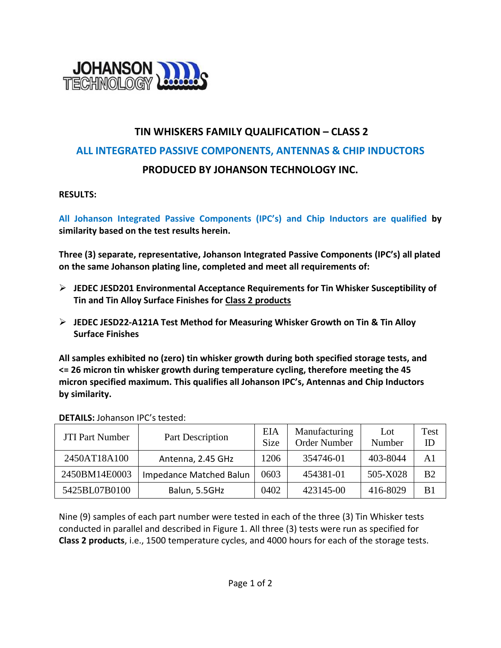

## **TIN WHISKERS FAMILY QUALIFICATION – CLASS 2 ALL INTEGRATED PASSIVE COMPONENTS, ANTENNAS & CHIP INDUCTORS PRODUCED BY JOHANSON TECHNOLOGY INC.**

## **RESULTS:**

**All Johanson Integrated Passive Components (IPC's) and Chip Inductors are qualified by similarity based on the test results herein.** 

**Three (3) separate, representative, Johanson Integrated Passive Components (IPC's) all plated on the same Johanson plating line, completed and meet all requirements of:** 

- **JEDEC JESD201 Environmental Acceptance Requirements for Tin Whisker Susceptibility of Tin and Tin Alloy Surface Finishes for Class 2 products**
- **JEDEC JESD22-A121A Test Method for Measuring Whisker Growth on Tin & Tin Alloy Surface Finishes**

**All samples exhibited no (zero) tin whisker growth during both specified storage tests, and <= 26 micron tin whisker growth during temperature cycling, therefore meeting the 45 micron specified maximum. This qualifies all Johanson IPC's, Antennas and Chip Inductors by similarity.** 

| <b>JTI Part Number</b> | Part Description        | EIA<br><b>Size</b> | Manufacturing<br><b>Order Number</b> | Lot<br>Number | <b>Test</b><br>ID |
|------------------------|-------------------------|--------------------|--------------------------------------|---------------|-------------------|
| 2450AT18A100           | Antenna, 2.45 GHz       | 1206               | 354746-01                            | 403-8044      | A1                |
| 2450BM14E0003          | Impedance Matched Balun | 0603               | 454381-01                            | 505-X028      | B <sub>2</sub>    |
| 5425BL07B0100          | Balun, 5.5GHz           | 0402               | 423145-00                            | 416-8029      | B1                |

**DETAILS:** Johanson IPC's tested:

Nine (9) samples of each part number were tested in each of the three (3) Tin Whisker tests conducted in parallel and described in Figure 1. All three (3) tests were run as specified for **Class 2 products**, i.e., 1500 temperature cycles, and 4000 hours for each of the storage tests.